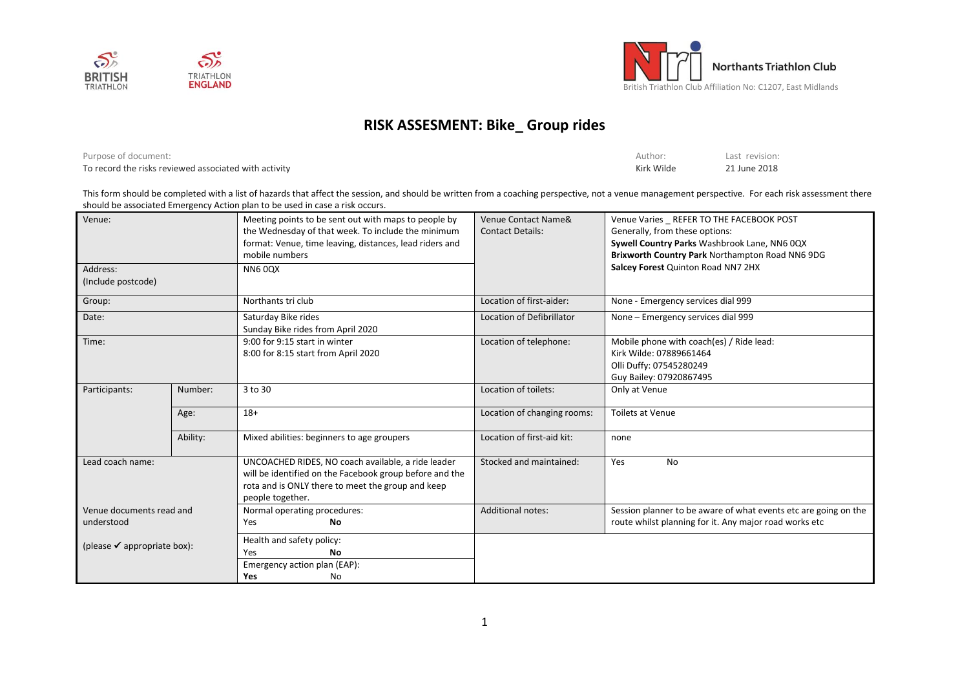



## **RISK ASSESMENT: Bike\_ Group rides**

Purpose of document: Author: Last revision: To record the risks reviewed associated with activity National Activity Activity Activity Activity Activity Activity Activity Activity Activity Activity Activity Activity Activity Activity Activity Activity Activity Activi

This form should be completed with a list of hazards that affect the session, and should be written from a coaching perspective, not a venue management perspective. For each risk assessment there should be associated Emergency Action plan to be used in case a risk occurs.

| Venue:                                 |          | Meeting points to be sent out with maps to people by<br>the Wednesday of that week. To include the minimum<br>format: Venue, time leaving, distances, lead riders and<br>mobile numbers | Venue Contact Name&<br><b>Contact Details:</b> | Venue Varies REFER TO THE FACEBOOK POST<br>Generally, from these options:<br>Sywell Country Parks Washbrook Lane, NN6 0QX<br>Brixworth Country Park Northampton Road NN6 9DG |  |  |
|----------------------------------------|----------|-----------------------------------------------------------------------------------------------------------------------------------------------------------------------------------------|------------------------------------------------|------------------------------------------------------------------------------------------------------------------------------------------------------------------------------|--|--|
| Address:                               |          | <b>NN60QX</b>                                                                                                                                                                           |                                                | Salcey Forest Quinton Road NN7 2HX                                                                                                                                           |  |  |
| (Include postcode)                     |          |                                                                                                                                                                                         |                                                |                                                                                                                                                                              |  |  |
| Group:                                 |          | Northants tri club                                                                                                                                                                      | Location of first-aider:                       | None - Emergency services dial 999                                                                                                                                           |  |  |
| Date:                                  |          | Saturday Bike rides                                                                                                                                                                     | Location of Defibrillator                      | None - Emergency services dial 999                                                                                                                                           |  |  |
|                                        |          | Sunday Bike rides from April 2020                                                                                                                                                       |                                                |                                                                                                                                                                              |  |  |
| Time:                                  |          | 9:00 for 9:15 start in winter                                                                                                                                                           | Location of telephone:                         | Mobile phone with coach(es) / Ride lead:                                                                                                                                     |  |  |
|                                        |          | 8:00 for 8:15 start from April 2020                                                                                                                                                     |                                                | Kirk Wilde: 07889661464                                                                                                                                                      |  |  |
|                                        |          |                                                                                                                                                                                         |                                                | Olli Duffy: 07545280249                                                                                                                                                      |  |  |
|                                        | Number:  | 3 to 30                                                                                                                                                                                 |                                                | Guy Bailey: 07920867495                                                                                                                                                      |  |  |
| Participants:                          |          |                                                                                                                                                                                         | Location of toilets:                           | Only at Venue                                                                                                                                                                |  |  |
|                                        | Age:     | $18+$                                                                                                                                                                                   | Location of changing rooms:                    | Toilets at Venue                                                                                                                                                             |  |  |
|                                        | Ability: | Mixed abilities: beginners to age groupers                                                                                                                                              | Location of first-aid kit:                     | none                                                                                                                                                                         |  |  |
| Lead coach name:                       |          | UNCOACHED RIDES, NO coach available, a ride leader<br>will be identified on the Facebook group before and the<br>rota and is ONLY there to meet the group and keep<br>people together.  | Stocked and maintained:                        | Yes<br>No                                                                                                                                                                    |  |  |
| Venue documents read and<br>understood |          | Normal operating procedures:                                                                                                                                                            | <b>Additional notes:</b>                       | Session planner to be aware of what events etc are going on the<br>route whilst planning for it. Any major road works etc                                                    |  |  |
|                                        |          | No<br>Yes                                                                                                                                                                               |                                                |                                                                                                                                                                              |  |  |
| (please $\checkmark$ appropriate box): |          | Health and safety policy:<br>Yes<br>No<br>Emergency action plan (EAP):<br>Yes<br>No                                                                                                     |                                                |                                                                                                                                                                              |  |  |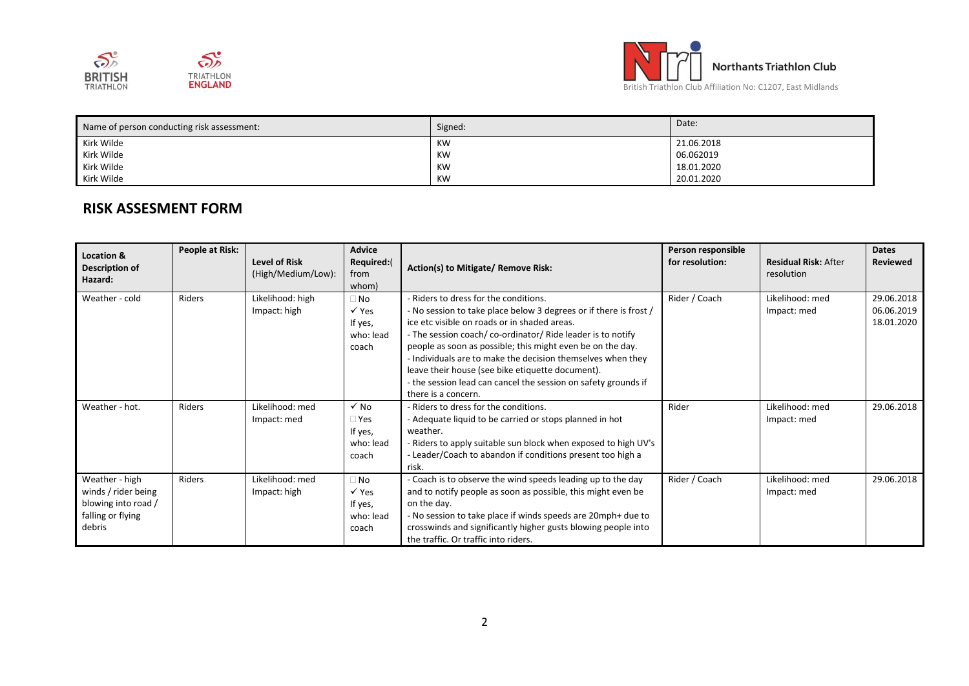



| Name of person conducting risk assessment: | Signed: | Date:      |
|--------------------------------------------|---------|------------|
| Kirk Wilde                                 | KW      | 21.06.2018 |
| Kirk Wilde                                 | KW      | 06.062019  |
| Kirk Wilde                                 | KW      | 18.01.2020 |
| Kirk Wilde                                 | KW      | 20.01.2020 |

## **RISK ASSESMENT FORM**

| Location &<br>Description of<br>Hazard:                                                     | People at Risk: | <b>Level of Risk</b><br>(High/Medium/Low): | Advice<br>Required:(<br>from<br>whom)                          | Action(s) to Mitigate/ Remove Risk:                                                                                                                                                                                                                                                                                                                                                                                                                                                                | Person responsible<br>for resolution: | <b>Residual Risk: After</b><br>resolution | <b>Dates</b><br><b>Reviewed</b>        |
|---------------------------------------------------------------------------------------------|-----------------|--------------------------------------------|----------------------------------------------------------------|----------------------------------------------------------------------------------------------------------------------------------------------------------------------------------------------------------------------------------------------------------------------------------------------------------------------------------------------------------------------------------------------------------------------------------------------------------------------------------------------------|---------------------------------------|-------------------------------------------|----------------------------------------|
| Weather - cold                                                                              | Riders          | Likelihood: high<br>Impact: high           | $\Box$ No<br>$\checkmark$ Yes<br>If yes,<br>who: lead<br>coach | - Riders to dress for the conditions.<br>- No session to take place below 3 degrees or if there is frost /<br>ice etc visible on roads or in shaded areas.<br>- The session coach/co-ordinator/ Ride leader is to notify<br>people as soon as possible; this might even be on the day.<br>- Individuals are to make the decision themselves when they<br>leave their house (see bike etiquette document).<br>- the session lead can cancel the session on safety grounds if<br>there is a concern. | Rider / Coach                         | Likelihood: med<br>Impact: med            | 29.06.2018<br>06.06.2019<br>18.01.2020 |
| Weather - hot.                                                                              | Riders          | Likelihood: med<br>Impact: med             | $\sqrt{NQ}$<br>$\Box$ Yes<br>If yes,<br>who: lead<br>coach     | - Riders to dress for the conditions.<br>- Adequate liquid to be carried or stops planned in hot<br>weather.<br>- Riders to apply suitable sun block when exposed to high UV's<br>- Leader/Coach to abandon if conditions present too high a<br>risk.                                                                                                                                                                                                                                              | Rider                                 | Likelihood: med<br>Impact: med            | 29.06.2018                             |
| Weather - high<br>winds / rider being<br>blowing into road /<br>falling or flying<br>debris | Riders          | Likelihood: med<br>Impact: high            | $\Box$ No<br>$\checkmark$ Yes<br>If yes,<br>who: lead<br>coach | - Coach is to observe the wind speeds leading up to the day<br>and to notify people as soon as possible, this might even be<br>on the day.<br>- No session to take place if winds speeds are 20mph+ due to<br>crosswinds and significantly higher gusts blowing people into<br>the traffic. Or traffic into riders.                                                                                                                                                                                | Rider / Coach                         | Likelihood: med<br>Impact: med            | 29.06.2018                             |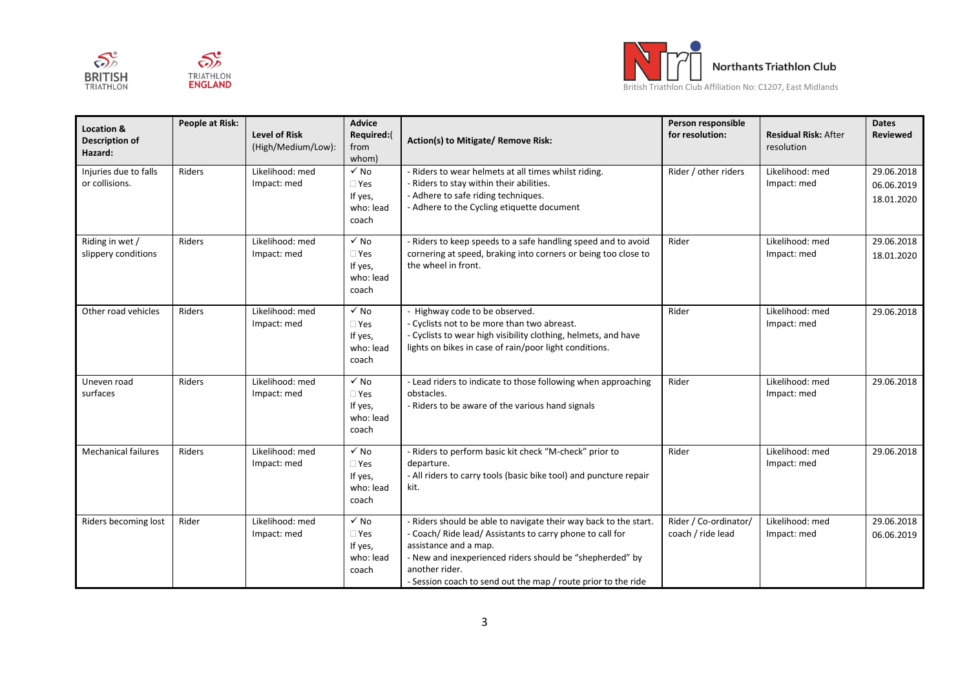





**Location & Description of Hazard: People at Risk: Level of Risk**  (High/Medium/Low): **Advice Required:**( from whom) **Action(s) to Mitigate/ Remove Risk: Person responsible for resolution: Residual Risk:** After resolution **Dates Reviewed** Injuries due to falls or collisions. Riders Likelihood: med Impact: med  $\sqrt{N_0}$  Yes If yes, who: lead coach - Riders to wear helmets at all times whilst riding. - Riders to stay within their abilities. - Adhere to safe riding techniques. - Adhere to the Cycling etiquette document Rider / other riders Likelihood: med Impact: med 29.06.2018 06.06.2019 18.01.2020 Riding in wet / slippery conditions Riders | Likelihood: med Impact: med ✓ No Yes If yes, who: lead coach - Riders to keep speeds to a safe handling speed and to avoid cornering at speed, braking into corners or being too close to the wheel in front. Rider **Likelihood:** med Impact: med 29.06.2018 18.01.2020 Other road vehicles Riders Likelihood: med Impact: med  $\sqrt{Nn}$  $\Box$  Yes If yes, who: lead coach - Highway code to be observed. - Cyclists not to be more than two abreast. - Cyclists to wear high visibility clothing, helmets, and have lights on bikes in case of rain/poor light conditions. Rider likelihood: med Impact: med 29.06.2018 Uneven road surfaces Riders Likelihood: med Impact: med  $\sqrt{N}$  Yes If yes, who: lead coach - Lead riders to indicate to those following when approaching obstacles. - Riders to be aware of the various hand signals Rider **Likelihood:** med Impact: med 29.06.2018 Mechanical failures | Riders | Likelihood: med Impact: med  $\overline{V}$  No Yes If yes, who: lead coach - Riders to perform basic kit check "M-check" prior to departure. - All riders to carry tools (basic bike tool) and puncture repair kit. Rider | Likelihood: med Impact: med 29.06.2018 Riders becoming lost | Rider | Likelihood: med Impact: med ✓ No Yes If yes, who: lead coach - Riders should be able to navigate their way back to the start. - Coach/ Ride lead/ Assistants to carry phone to call for assistance and a map. - New and inexperienced riders should be "shepherded" by another rider. - Session coach to send out the map / route prior to the ride Rider / Co-ordinator/ coach / ride lead Likelihood: med Impact: med 29.06.2018 06.06.2019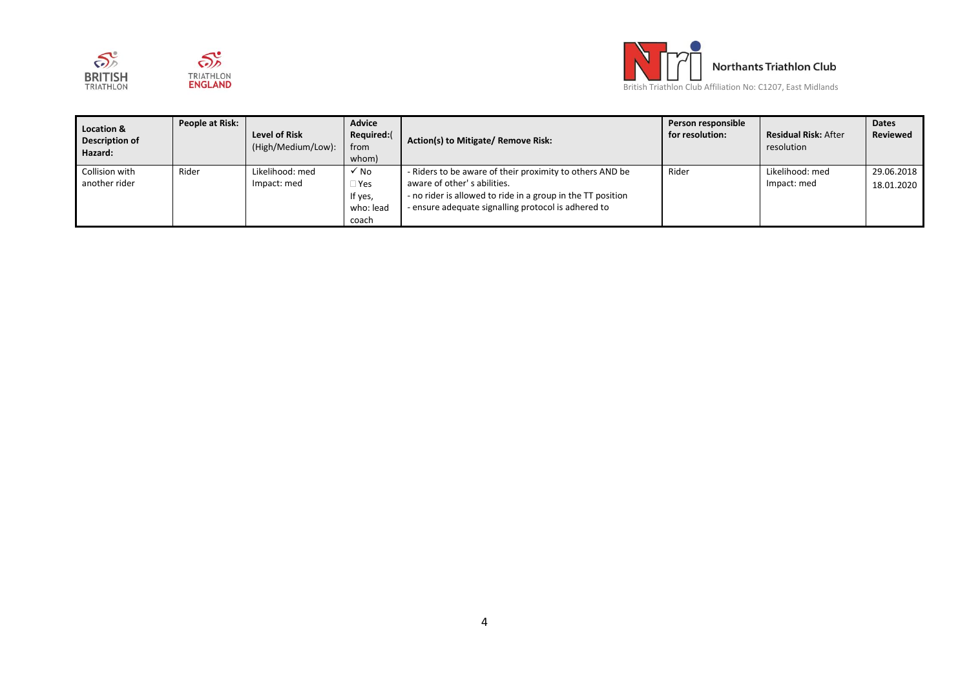





British Triathlon Club Affiliation No: C1207, East Midlands

| <b>Location &amp;</b><br>Description of<br>Hazard: | People at Risk: | <b>Level of Risk</b><br>(High/Medium/Low): | Advice<br>Required:(<br>from<br>whom) | Action(s) to Mitigate/ Remove Risk:                         | Person responsible<br>for resolution: | <b>Residual Risk: After</b><br>resolution | <b>Dates</b><br><b>Reviewed</b> |
|----------------------------------------------------|-----------------|--------------------------------------------|---------------------------------------|-------------------------------------------------------------|---------------------------------------|-------------------------------------------|---------------------------------|
| Collision with                                     | Rider           | Likelihood: med                            | √ No                                  | - Riders to be aware of their proximity to others AND be    | Rider                                 | Likelihood: med                           | 29.06.2018                      |
| another rider                                      |                 | Impact: med                                | Yes                                   | aware of other's abilities.                                 |                                       | Impact: med                               | 18.01.2020                      |
|                                                    |                 |                                            | If yes,                               | - no rider is allowed to ride in a group in the TT position |                                       |                                           |                                 |
|                                                    |                 |                                            | who: lead                             | - ensure adequate signalling protocol is adhered to         |                                       |                                           |                                 |
|                                                    |                 |                                            | coach                                 |                                                             |                                       |                                           |                                 |